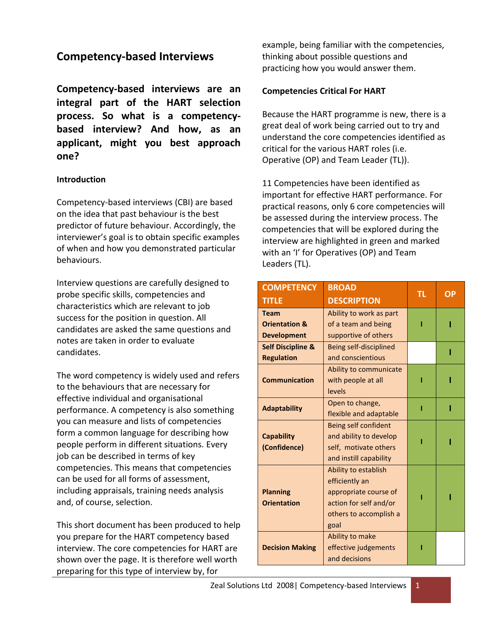# **Competency-based Interviews**

**Competency-based interviews are an integral part of the HART selection process. So what is a competencybased interview? And how, as an applicant, might you best approach one?** 

# **Introduction**

Competency-based interviews (CBI) are based on the idea that past behaviour is the best predictor of future behaviour. Accordingly, the interviewer's goal is to obtain specific examples of when and how you demonstrated particular behaviours.

Interview questions are carefully designed to probe specific skills, competencies and characteristics which are relevant to job success for the position in question. All candidates are asked the same questions and notes are taken in order to evaluate candidates.

The word competency is widely used and refers to the behaviours that are necessary for effective individual and organisational performance. A competency is also something you can measure and lists of competencies form a common language for describing how people perform in different situations. Every job can be described in terms of key competencies. This means that competencies can be used for all forms of assessment, including appraisals, training needs analysis and, of course, selection.

This short document has been produced to help you prepare for the HART competency based interview. The core competencies for HART are shown over the page. It is therefore well worth preparing for this type of interview by, for

example, being familiar with the competencies, thinking about possible questions and practicing how you would answer them.

## **Competencies Critical For HART**

Because the HART programme is new, there is a great deal of work being carried out to try and understand the core competencies identified as critical for the various HART roles (i.e. Operative (OP) and Team Leader (TL)).

11 Competencies have been identified as important for effective HART performance. For practical reasons, only 6 core competencies will be assessed during the interview process. The competencies that will be explored during the interview are highlighted in green and marked with an 'I' for Operatives (OP) and Team Leaders (TL).

| <b>COMPETENCY</b>            | <b>BROAD</b>                | ΤL | ΟP |
|------------------------------|-----------------------------|----|----|
| <b>TITLE</b>                 | <b>DESCRIPTION</b>          |    |    |
| <b>Team</b>                  | Ability to work as part     |    |    |
| <b>Orientation &amp;</b>     | of a team and being         |    |    |
| <b>Development</b>           | supportive of others        |    |    |
| <b>Self Discipline &amp;</b> | Being self-disciplined      |    |    |
| <b>Regulation</b>            | and conscientious           |    |    |
|                              | Ability to communicate      |    |    |
| <b>Communication</b>         | with people at all          |    |    |
|                              | levels                      |    |    |
| <b>Adaptability</b>          | Open to change,             |    |    |
|                              | flexible and adaptable      |    |    |
|                              | <b>Being self confident</b> |    |    |
| <b>Capability</b>            | and ability to develop      |    |    |
| (Confidence)                 | self, motivate others       |    |    |
|                              | and instill capability      |    |    |
|                              | Ability to establish        |    |    |
|                              | efficiently an              |    |    |
| <b>Planning</b>              | appropriate course of       |    |    |
| <b>Orientation</b>           | action for self and/or      |    |    |
|                              | others to accomplish a      |    |    |
|                              | goal                        |    |    |
|                              | Ability to make             |    |    |
| <b>Decision Making</b>       | effective judgements        |    |    |
|                              | and decisions               |    |    |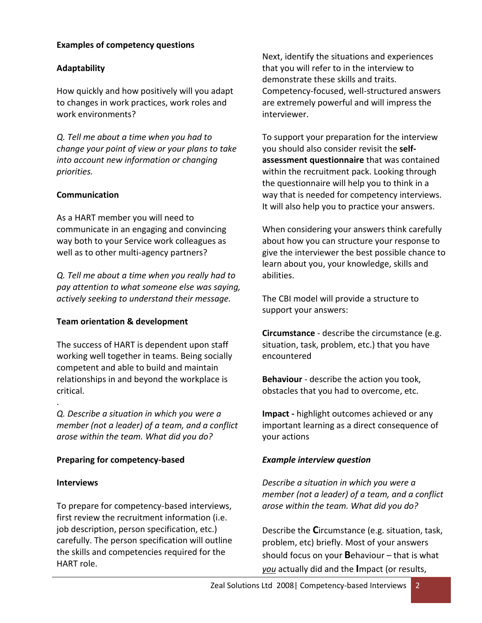# **Examples of competency questions**

### **Adaptability**

How quickly and how positively will you adapt to changes in work practices, work roles and work environments?

*Q. Tell me about a time when you had to change your point of view or your plans to take into account new information or changing priorities.*

### **Communication**

As a HART member you will need to communicate in an engaging and convincing way both to your Service work colleagues as well as to other multi-agency partners?

*Q. Tell me about a time when you really had to pay attention to what someone else was saying, actively seeking to understand their message.*

#### **Team orientation & development**

The success of HART is dependent upon staff working well together in teams. Being socially competent and able to build and maintain relationships in and beyond the workplace is critical.

. *Q. Describe a situation in which you were a member (not a leader) of a team, and a conflict arose within the team. What did you do?*

# **Preparing for competency-based**

#### **Interviews**

To prepare for competency-based interviews, first review the recruitment information (i.e. job description, person specification, etc.) carefully. The person specification will outline the skills and competencies required for the HART role.

Next, identify the situations and experiences that you will refer to in the interview to demonstrate these skills and traits. Competency-focused, well-structured answers are extremely powerful and will impress the interviewer.

To support your preparation for the interview you should also consider revisit the **selfassessment questionnaire** that was contained within the recruitment pack. Looking through the questionnaire will help you to think in a way that is needed for competency interviews. It will also help you to practice your answers.

When considering your answers think carefully about how you can structure your response to give the interviewer the best possible chance to learn about you, your knowledge, skills and abilities.

The CBI model will provide a structure to support your answers:

**Circumstance** - describe the circumstance (e.g. situation, task, problem, etc.) that you have encountered

**Behaviour** - describe the action you took, obstacles that you had to overcome, etc.

**Impact -** highlight outcomes achieved or any important learning as a direct consequence of your actions

### *Example interview question*

*Describe a situation in which you were a member (not a leader) of a team, and a conflict arose within the team. What did you do?*

Describe the **C**ircumstance (e.g. situation, task, problem, etc) briefly. Most of your answers should focus on your **B**ehaviour – that is what *you* actually did and the **I**mpact (or results,